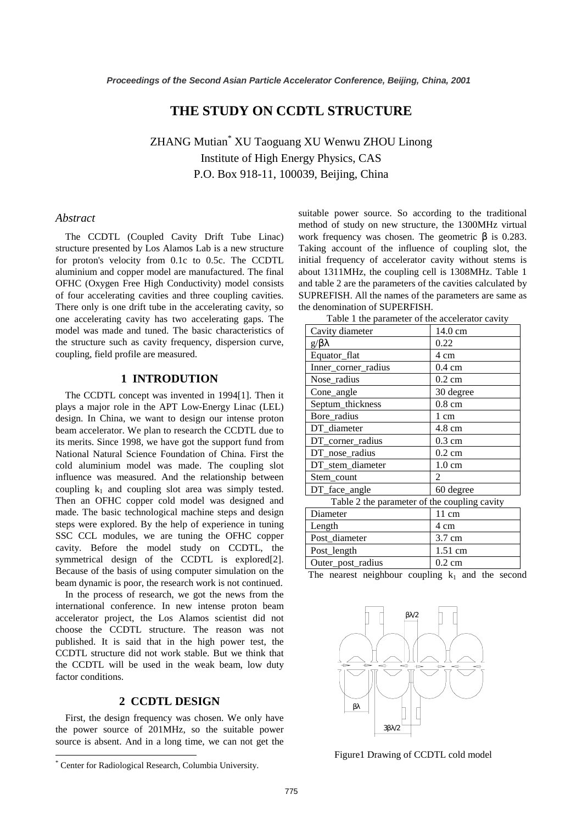# **THE STUDY ON CCDTL STRUCTURE**

ZHANG Mutian\* XU Taoguang XU Wenwu ZHOU Linong Institute of High Energy Physics, CAS P.O. Box 918-11, 100039, Beijing, China

### *Abstract*

The CCDTL (Coupled Cavity Drift Tube Linac) structure presented by Los Alamos Lab is a new structure for proton's velocity from 0.1c to 0.5c. The CCDTL aluminium and copper model are manufactured. The final OFHC (Oxygen Free High Conductivity) model consists of four accelerating cavities and three coupling cavities. There only is one drift tube in the accelerating cavity, so one accelerating cavity has two accelerating gaps. The model was made and tuned. The basic characteristics of the structure such as cavity frequency, dispersion curve, coupling, field profile are measured.

### **1 INTRODUTION**

The CCDTL concept was invented in 1994[1]. Then it plays a major role in the APT Low-Energy Linac (LEL) design. In China, we want to design our intense proton beam accelerator. We plan to research the CCDTL due to its merits. Since 1998, we have got the support fund from National Natural Science Foundation of China. First the cold aluminium model was made. The coupling slot influence was measured. And the relationship between coupling  $k_1$  and coupling slot area was simply tested. Then an OFHC copper cold model was designed and made. The basic technological machine steps and design steps were explored. By the help of experience in tuning SSC CCL modules, we are tuning the OFHC copper cavity. Before the model study on CCDTL, the symmetrical design of the CCDTL is explored[2]. Because of the basis of using computer simulation on the beam dynamic is poor, the research work is not continued.

In the process of research, we got the news from the international conference. In new intense proton beam accelerator project, the Los Alamos scientist did not choose the CCDTL structure. The reason was not published. It is said that in the high power test, the CCDTL structure did not work stable. But we think that the CCDTL will be used in the weak beam, low duty factor conditions.

## **2 CCDTL DESIGN**

First, the design frequency was chosen. We only have the power source of 201MHz, so the suitable power source is absent. And in a long time, we can not get the suitable power source. So according to the traditional method of study on new structure, the 1300MHz virtual work frequency was chosen. The geometric  $\beta$  is 0.283. Taking account of the influence of coupling slot, the initial frequency of accelerator cavity without stems is about 1311MHz, the coupling cell is 1308MHz. Table 1 and table 2 are the parameters of the cavities calculated by SUPREFISH. All the names of the parameters are same as the denomination of SUPERFISH.

| Cavity diameter                              | 14.0 cm          |
|----------------------------------------------|------------------|
| $g/\beta\lambda$                             | 0.22             |
| Equator_flat                                 | 4 cm             |
| Inner_corner_radius                          | $0.4 \text{ cm}$ |
| Nose_radius                                  | $0.2 \text{ cm}$ |
| Cone_angle                                   | 30 degree        |
| Septum_thickness                             | $0.8 \text{ cm}$ |
| Bore_radius                                  | 1 cm             |
| DT_diameter                                  | 4.8 cm           |
| DT_corner_radius                             | $0.3 \text{ cm}$ |
| DT_nose_radius                               | $0.2 \text{ cm}$ |
| DT_stem_diameter                             | $1.0 \text{ cm}$ |
| Stem_count                                   | $\overline{c}$   |
| DT_face_angle                                | 60 degree        |
| Table 2 the parameter of the coupling cavity |                  |
| Diameter                                     | $11 \text{ cm}$  |
| Length                                       | 4 cm             |
| Post_diameter                                | 3.7 cm           |
| Post_length                                  | 1.51 cm          |
| Outer_post_radius                            | $0.2 \text{ cm}$ |

| Table 1 the parameter of the accelerator cavity |  |
|-------------------------------------------------|--|
|-------------------------------------------------|--|

The nearest neighbour coupling  $k_1$  and the second



Figure1 Drawing of CCDTL cold model

<sup>\*</sup> Center for Radiological Research, Columbia University.